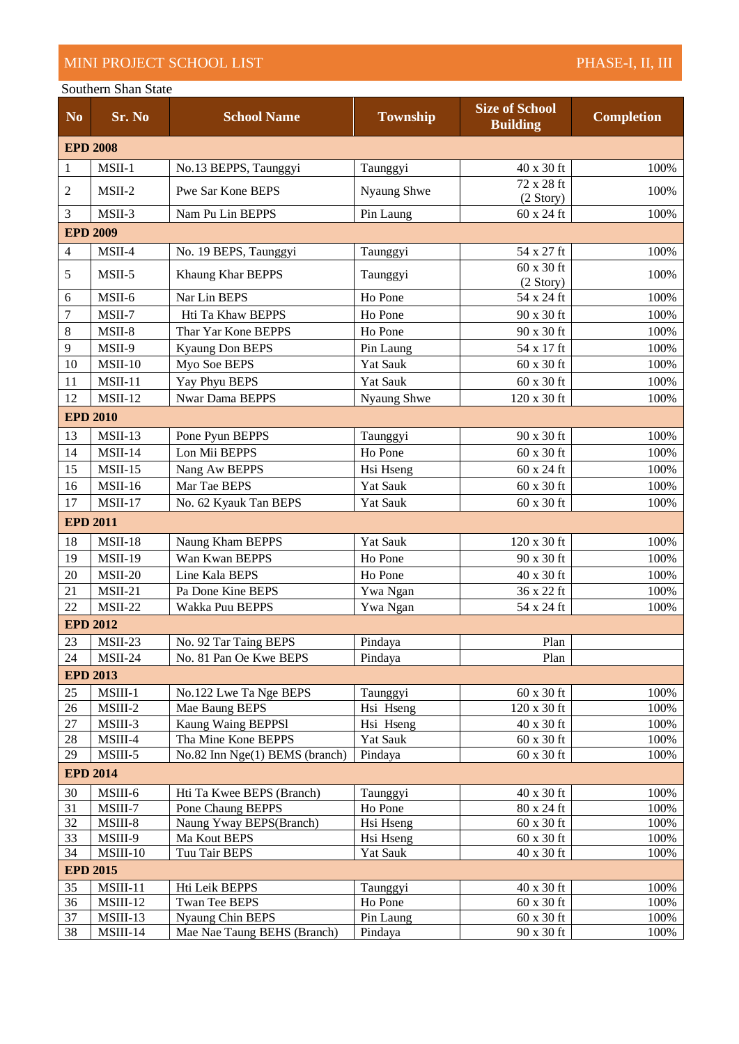## MINI PROJECT SCHOOL LIST PHASE-I, II, III

## Southern Shan State

| N <sub>0</sub>                                                                       | Sr. No          | <b>School Name</b>             | <b>Township</b> | <b>Size of School</b><br><b>Building</b> | <b>Completion</b> |  |  |  |  |
|--------------------------------------------------------------------------------------|-----------------|--------------------------------|-----------------|------------------------------------------|-------------------|--|--|--|--|
| <b>EPD 2008</b>                                                                      |                 |                                |                 |                                          |                   |  |  |  |  |
| 1                                                                                    | MSII-1          | No.13 BEPPS, Taunggyi          | Taunggyi        | 40 x 30 ft                               | 100%              |  |  |  |  |
| $\overline{c}$                                                                       | MSII-2          | Pwe Sar Kone BEPS              | Nyaung Shwe     | 72 x 28 ft                               | 100%              |  |  |  |  |
|                                                                                      |                 |                                |                 | (2 Story)                                |                   |  |  |  |  |
| 3                                                                                    | MSII-3          | Nam Pu Lin BEPPS               | Pin Laung       | 60 x 24 ft                               | 100%              |  |  |  |  |
|                                                                                      | <b>EPD 2009</b> |                                |                 |                                          |                   |  |  |  |  |
| $\overline{4}$                                                                       | MSII-4          | No. 19 BEPS, Taunggyi          | Taunggyi        | 54 x 27 ft                               | 100%              |  |  |  |  |
| 5                                                                                    | MSII-5          | Khaung Khar BEPPS              | Taunggyi        | 60 x 30 ft<br>(2 Story)                  | 100%              |  |  |  |  |
| 6                                                                                    | MSII-6          | Nar Lin BEPS                   | Ho Pone         | 54 x 24 ft                               | 100%              |  |  |  |  |
| $\tau$                                                                               | MSII-7          | Hti Ta Khaw BEPPS              | Ho Pone         | 90 x 30 ft                               | 100%              |  |  |  |  |
| 8                                                                                    | MSII-8          | Thar Yar Kone BEPPS            | Ho Pone         | 90 x 30 ft                               | 100%              |  |  |  |  |
| 9                                                                                    | MSII-9          | <b>Kyaung Don BEPS</b>         | Pin Laung       | 54 x 17 ft                               | 100%              |  |  |  |  |
| 10                                                                                   | $MSII-10$       | Myo Soe BEPS                   | <b>Yat Sauk</b> | 60 x 30 ft                               | 100%              |  |  |  |  |
| 11                                                                                   | $MSII-11$       | Yay Phyu BEPS                  | <b>Yat Sauk</b> | 60 x 30 ft                               | 100%              |  |  |  |  |
| 12                                                                                   | $MSII-12$       | <b>Nwar Dama BEPPS</b>         | Nyaung Shwe     | 120 x 30 ft                              | 100%              |  |  |  |  |
|                                                                                      | <b>EPD 2010</b> |                                |                 |                                          |                   |  |  |  |  |
| 13                                                                                   | $MSII-13$       | Pone Pyun BEPPS                | Taunggyi        | 90 x 30 ft                               | 100%              |  |  |  |  |
| 14                                                                                   | $MSII-14$       | Lon Mii BEPPS                  | Ho Pone         | 60 x 30 ft                               | 100%              |  |  |  |  |
| 15                                                                                   | $MSII-15$       | Nang Aw BEPPS                  | Hsi Hseng       | $60 \times 24$ ft                        | 100%              |  |  |  |  |
| 16                                                                                   | $MSII-16$       | Mar Tae BEPS                   | <b>Yat Sauk</b> | 60 x 30 ft                               | 100%              |  |  |  |  |
| 17                                                                                   | $MSII-17$       | No. 62 Kyauk Tan BEPS          | <b>Yat Sauk</b> | $60 \times 30$ ft                        | 100%              |  |  |  |  |
|                                                                                      | <b>EPD 2011</b> |                                |                 |                                          |                   |  |  |  |  |
| 18                                                                                   | $MSII-18$       | Naung Kham BEPPS               | <b>Yat Sauk</b> | 120 x 30 ft                              | 100%              |  |  |  |  |
| 19                                                                                   | <b>MSII-19</b>  | Wan Kwan BEPPS                 | Ho Pone         | 90 x 30 ft                               | 100%              |  |  |  |  |
| 20                                                                                   | <b>MSII-20</b>  | Line Kala BEPS                 | Ho Pone         | 40 x 30 ft                               | 100%              |  |  |  |  |
| 21                                                                                   | MSII-21         | Pa Done Kine BEPS              | Ywa Ngan        | 36 x 22 ft                               | 100%              |  |  |  |  |
| 22                                                                                   | <b>MSII-22</b>  | Wakka Puu BEPPS                | Ywa Ngan        | 54 x 24 ft                               | 100%              |  |  |  |  |
| <b>EPD 2012</b>                                                                      |                 |                                |                 |                                          |                   |  |  |  |  |
| 23                                                                                   | MSII-23         | No. 92 Tar Taing BEPS          | Pindaya         | Plan                                     |                   |  |  |  |  |
| 24                                                                                   | MSII-24         | No. 81 Pan Oe Kwe BEPS         | Pindaya         | Plan                                     |                   |  |  |  |  |
| <b>EPD 2013</b>                                                                      |                 |                                |                 |                                          |                   |  |  |  |  |
| 25                                                                                   | MSIII-1         | No.122 Lwe Ta Nge BEPS         | Taunggyi        | $60 \times 30$ ft                        | 100%              |  |  |  |  |
| 26                                                                                   | MSIII-2         | Mae Baung BEPS                 | Hsi Hseng       | 120 x 30 ft                              | 100%              |  |  |  |  |
| 27                                                                                   | MSIII-3         | Kaung Waing BEPPS1             | Hsi Hseng       | 40 x 30 ft                               | 100%              |  |  |  |  |
| 28                                                                                   | $MSIII-4$       | Tha Mine Kone BEPPS            | <b>Yat Sauk</b> | $60 \times 30$ ft                        | 100%              |  |  |  |  |
| 29                                                                                   | MSIII-5         | No.82 Inn Nge(1) BEMS (branch) | Pindaya         | $60 \times 30$ ft                        | 100%              |  |  |  |  |
| <b>EPD 2014</b>                                                                      |                 |                                |                 |                                          |                   |  |  |  |  |
| 30                                                                                   | MSIII-6         | Hti Ta Kwee BEPS (Branch)      | Taunggyi        | 40 x 30 ft                               | 100%              |  |  |  |  |
| 31                                                                                   | MSIII-7         | Pone Chaung BEPPS              | Ho Pone         | 80 x 24 ft                               | 100%              |  |  |  |  |
| 32                                                                                   | MSIII-8         | Naung Yway BEPS(Branch)        | Hsi Hseng       | 60 x 30 ft                               | 100%              |  |  |  |  |
| 33                                                                                   | MSIII-9         | Ma Kout BEPS                   | Hsi Hseng       | 60 x 30 ft                               | 100%              |  |  |  |  |
| 34<br>MSIII-10<br>Tuu Tair BEPS<br>Yat Sauk<br>40 x 30 ft<br>100%<br><b>EPD 2015</b> |                 |                                |                 |                                          |                   |  |  |  |  |
| 35                                                                                   | $MSIII-11$      | Hti Leik BEPPS                 | Taunggyi        | 40 x 30 ft                               | 100%              |  |  |  |  |
| 36                                                                                   | MSIII-12        | Twan Tee BEPS                  | Ho Pone         | 60 x 30 ft                               | 100%              |  |  |  |  |
| 37                                                                                   | MSIII-13        | Nyaung Chin BEPS               | Pin Laung       | $60 \times 30$ ft                        | 100%              |  |  |  |  |
| 38                                                                                   | MSIII-14        | Mae Nae Taung BEHS (Branch)    | Pindaya         | 90 x 30 ft                               | 100%              |  |  |  |  |